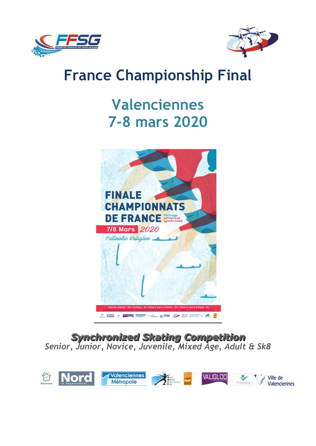



# **France Championship Final**

# **Valenciennes 7-8 mars 2020**



*Synchronized Skating Competition Senior, Junior, Novice, Juvenile, Mixed Age, Adult & Sk8*

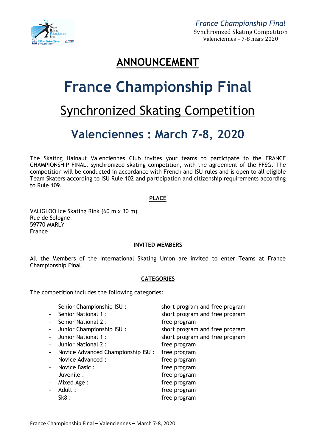

## **ANNOUNCEMENT**

# **France Championship Final**

# Synchronized Skating Competition

# **Valenciennes : March 7-8, 2020**

The Skating Hainaut Valenciennes Club invites your teams to participate to the FRANCE CHAMPIONSHIP FINAL, synchronized skating competition, with the agreement of the FFSG. The competition will be conducted in accordance with French and ISU rules and is open to all eligible Team Skaters according to ISU Rule 102 and participation and citizenship requirements according to Rule 109.

#### **PLACE**

VALIGLOO Ice Skating Rink (60 m x 30 m) Rue de Sologne 59770 MARLY France

#### **INVITED MEMBERS**

All the Members of the International Skating Union are invited to enter Teams at France Championship Final.

#### **CATEGORIES**

The competition includes the following categories:

| Senior Championship ISU:          | short program and free program |
|-----------------------------------|--------------------------------|
| Senior National 1:                | short program and free program |
| Senior National 2:                | free program                   |
| Junior Championship ISU:          | short program and free program |
| Junior National 1:                | short program and free program |
| Junior National 2:                | free program                   |
| Novice Advanced Championship ISU: | free program                   |
| Novice Advanced :                 | free program                   |
| Novice Basic:                     | free program                   |
| Juvenile :                        | free program                   |
| Mixed Age:                        | free program                   |
| Adult:                            | free program                   |
| Sk8:                              | free program                   |
|                                   |                                |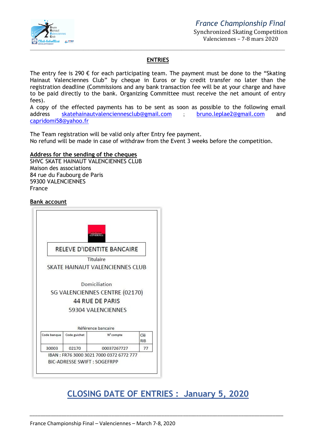

#### **ENTRIES**

The entry fee is 290  $\epsilon$  for each participating team. The payment must be done to the "Skating Hainaut Valenciennes Club" by cheque in Euros or by credit transfer no later than the registration deadline (Commissions and any bank transaction fee will be at your charge and have to be paid directly to the bank. Organizing Committee must receive the net amount of entry fees).

A copy of the effected payments has to be sent as soon as possible to the following email address skatehainautvalenciennesclub@gmail.com ; bruno.leplae2@gmail.com and capridomi58@yahoo.fr

The Team registration will be valid only after Entry fee payment. No refund will be made in case of withdraw from the Event 3 weeks before the competition.

#### **Address for the sending of the cheques**

SHVC SKATE HAINAUT VALENCIENNES CLUB Maison des associations 84 rue du Faubourg de Paris 59300 VALENCIENNES France

#### **Bank account**



## **CLOSING DATE OF ENTRIES : January 5, 2020**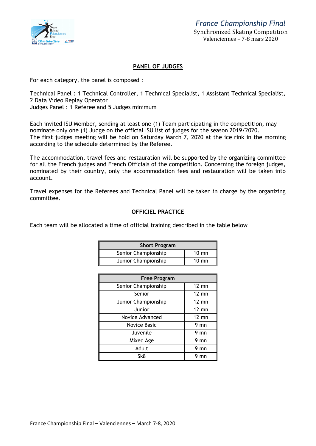

#### **PANEL OF JUDGES**

For each category, the panel is composed :

Technical Panel : 1 Technical Controller, 1 Technical Specialist, 1 Assistant Technical Specialist, 2 Data Video Replay Operator

Judges Panel : 1 Referee and 5 Judges minimum

Each invited ISU Member, sending at least one (1) Team participating in the competition, may nominate only one (1) Judge on the official ISU list of judges for the season 2019/2020. The first judges meeting will be hold on Saturday March 7, 2020 at the ice rink in the morning according to the schedule determined by the Referee.

The accommodation, travel fees and restauration will be supported by the organizing committee for all the French judges and French Officials of the competition. Concerning the foreign judges, nominated by their country, only the accommodation fees and restauration will be taken into account.

Travel expenses for the Referees and Technical Panel will be taken in charge by the organizing committee.

#### **OFFICIEL PRACTICE**

Each team will be allocated a time of official training described in the table below

| <b>Short Program</b> |                 |  |  |  |
|----------------------|-----------------|--|--|--|
| Senior Championship  | $10 \text{ mm}$ |  |  |  |
| Junior Championship  | $10 \text{ mm}$ |  |  |  |

| <b>Free Program</b> |                 |  |  |
|---------------------|-----------------|--|--|
| Senior Championship | $12 \text{ mm}$ |  |  |
| Senior              | $12 \text{ mm}$ |  |  |
| Junior Championship | $12 \text{ mm}$ |  |  |
| Junior              | $12 \text{ mm}$ |  |  |
| Novice Advanced     | $12 \text{ mm}$ |  |  |
| Novice Basic        | 9 mn            |  |  |
| Juvenile            | 9 mn            |  |  |
| Mixed Age           | $9 \text{mn}$   |  |  |
| Adult               | $9 \text{mn}$   |  |  |
| Sk8                 | mn              |  |  |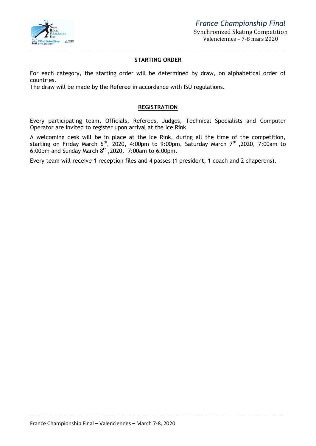

#### **STARTING ORDER**

For each category, the starting order will be determined by draw, on alphabetical order of countries.

The draw will be made by the Referee in accordance with ISU regulations.

#### **REGISTRATION**

Every participating team, Officials, Referees, Judges, Technical Specialists and Computer Operator are invited to register upon arrival at the Ice Rink.

A welcoming desk will be in place at the Ice Rink, during all the time of the competition, starting on Friday March 6<sup>th</sup>, 2020, 4:00pm to 9:00pm, Saturday March 7<sup>th</sup> ,2020, 7:00am to 6:00pm and Sunday March  $8<sup>th</sup>$ , 2020, 7:00am to 6:00pm.

Every team will receive 1 reception files and 4 passes (1 president, 1 coach and 2 chaperons).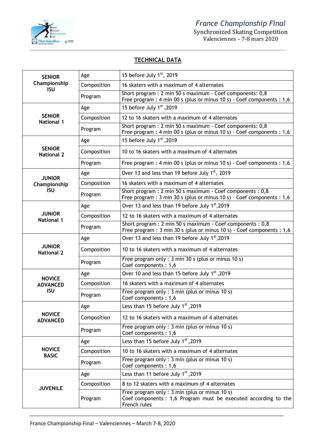

Synchronized Skating Competition Valenciennes – 7-8 mars 2020

### **TECHNICAL DATA**

| <b>SENIOR</b>                      | Age         | 15 before July 1st, 2019                                                                                                             |  |
|------------------------------------|-------------|--------------------------------------------------------------------------------------------------------------------------------------|--|
| Championship<br><b>ISU</b>         | Composition | 16 skaters with a maximum of 4 alternates                                                                                            |  |
|                                    | Program     | Short program : 2 min 50 s maximum - Coef components: 0,8<br>Free program : 4 min 00 s (plus or minus 10 s) - Coef components : 1,6  |  |
|                                    | Age         | 15 before July 1st, 2019                                                                                                             |  |
| <b>SENIOR</b><br><b>National 1</b> | Composition | 12 to 16 skaters with a maximum of 4 alternates                                                                                      |  |
|                                    | Program     | Short program : 2 min 50 s maximum - Coef components: 0,8<br>Free program : 4 min 00 s (plus or minus 10 s) - Coef components : 1,6  |  |
|                                    | Age         | 15 before July 1st, 2019                                                                                                             |  |
| <b>SENIOR</b><br><b>National 2</b> | Composition | 10 to 16 skaters with a maximum of 4 alternates                                                                                      |  |
|                                    | Program     | Free program : 4 min 00 s (plus or minus 10 s) - Coef components : 1,6                                                               |  |
| <b>JUNIOR</b>                      | Age         | Over 13 and less than 19 before July 1 <sup>st</sup> , 2019                                                                          |  |
| Championship                       | Composition | 16 skaters with a maximum of 4 alternates                                                                                            |  |
| <b>ISU</b>                         | Program     | Short program : 2 min 50 s maximum - Coef components : 0,8<br>Free program : 3 min 30 s (plus or minus 10 s) - Coef components : 1,6 |  |
|                                    | Age         | Over 13 and less than 19 before July 1 <sup>st</sup> , 2019                                                                          |  |
| <b>JUNIOR</b><br><b>National 1</b> | Composition | 12 to 16 skaters with a maximum of 4 alternates                                                                                      |  |
|                                    | Program     | Short program : 2 min 50 s maximum - Coef components : 0,8<br>Free program : 3 min 30 s (plus or minus 10 s) - Coef components : 1,6 |  |
|                                    | Age         | Over 13 and less than 19 before July 1 <sup>st</sup> , 2019                                                                          |  |
| <b>JUNIOR</b><br><b>National 2</b> | Composition | 10 to 16 skaters with a maximum of 4 alternates                                                                                      |  |
|                                    | Program     | Free program only : 3 min 30 s (plus or minus 10 s)<br>Coef components: 1,6                                                          |  |
| <b>NOVICE</b>                      | Age         | 0 Over 10 and less than 15 before July 1st, 2019                                                                                     |  |
| <b>ADVANCED</b>                    | Composition | 16 skaters with a maximum of 4 alternates                                                                                            |  |
| <b>ISU</b>                         | Program     | Free program only: 3 min (plus or minus 10 s)<br>Coef components: 1,6                                                                |  |
|                                    | Age         | Less than 15 before July 1st, 2019                                                                                                   |  |
| <b>NOVICE</b><br><b>ADVANCED</b>   | Composition | 12 to 16 skaters with a maximum of 4 alternates                                                                                      |  |
|                                    | Program     | Free program only : 3 min (plus or minus 10 s)<br>Coef components: 1,6                                                               |  |
|                                    | Age         | Less than 15 before July 1 <sup>st</sup> , 2019                                                                                      |  |
| <b>NOVICE</b><br><b>BASIC</b>      | Composition | 10 to 16 skaters with a maximum of 4 alternates                                                                                      |  |
|                                    | Program     | Free program only: 3 min (plus or minus 10 s)<br>Coef components: 1,6                                                                |  |
|                                    | Age         | Less than 11 before July 1st, 2019                                                                                                   |  |
| <b>JUVENILE</b>                    | Composition | 8 to 12 skaters with a maximum of 4 alternates                                                                                       |  |
|                                    | Program     | Free program only : 3 min (plus or minus 10 s)<br>Coef components : 1,6 Program must be executed according to the<br>French rules    |  |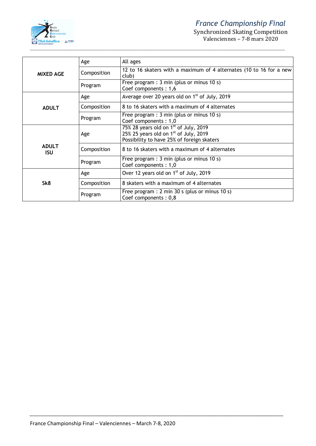

### *France Championship Final*

Synchronized Skating Competition Valenciennes – 7-8 mars 2020

|                            | Age         | All ages                                                                                                                                   |
|----------------------------|-------------|--------------------------------------------------------------------------------------------------------------------------------------------|
| <b>MIXED AGE</b>           | Composition | 12 to 16 skaters with a maximum of 4 alternates (10 to 16 for a new<br>club)                                                               |
|                            | Program     | Free program : 3 min (plus or minus 10 s)<br>Coef components: 1,6                                                                          |
|                            | Age         | Average over 20 years old on $1st$ of July, 2019                                                                                           |
| <b>ADULT</b>               | Composition | 8 to 16 skaters with a maximum of 4 alternates                                                                                             |
|                            | Program     | Free program : $3 \text{ min}$ (plus or minus 10 s)<br>Coef components: 1,0                                                                |
|                            | Age         | 75% 28 years old on 1 <sup>st</sup> of July, 2019<br>25% 25 years old on $1st$ of July, 2019<br>Possibility to have 25% of foreign skaters |
| <b>ADULT</b><br><b>ISU</b> | Composition | 8 to 16 skaters with a maximum of 4 alternates                                                                                             |
|                            | Program     | Free program : 3 min (plus or minus 10 s)<br>Coef components: 1,0                                                                          |
|                            | Age         | Over 12 years old on 1 <sup>st</sup> of July, 2019                                                                                         |
| Sk8                        | Composition | 8 skaters with a maximum of 4 alternates                                                                                                   |
|                            | Program     | Free program : $2 \text{ min } 30 \text{ s}$ (plus or minus 10 s)<br>Coef components: 0,8                                                  |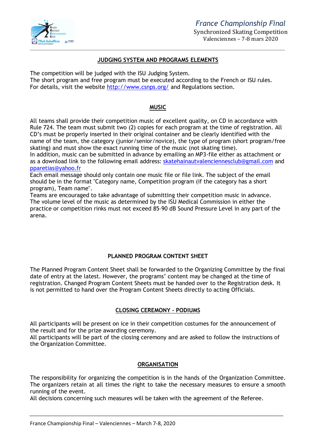

#### **JUDGING SYSTEM AND PROGRAMS ELEMENTS**

The competition will be judged with the ISU Judging System.

The short program and free program must be executed according to the French or ISU rules. For details, visit the website http://www.csnps.org/ and Regulations section.

#### **MUSIC**

All teams shall provide their competition music of excellent quality, on CD in accordance with Rule 724. The team must submit two (2) copies for each program at the time of registration. All CD's must be properly inserted in their original container and be clearly identified with the name of the team, the category (junior/senior/novice), the type of program (short program/free skating) and must show the exact running time of the music (not skating time).

In addition, music can be submitted in advance by emailing an MP3-file either as attachment or as a download link to the following email address: skatehainautvalenciennesclub@gmail.com and pparetias@yahoo.fr

Each email message should only contain one music file or file link. The subject of the email should be in the format "Category name, Competition program (if the category has a short program), Team name".

Teams are encouraged to take advantage of submitting their competition music in advance. The volume level of the music as determined by the ISU Medical Commission in either the practice or competition rinks must not exceed 85–90 dB Sound Pressure Level in any part of the arena.

#### **PLANNED PROGRAM CONTENT SHEET**

The Planned Program Content Sheet shall be forwarded to the Organizing Committee by the final date of entry at the latest. However, the programs' content may be changed at the time of registration. Changed Program Content Sheets must be handed over to the Registration desk. It is not permitted to hand over the Program Content Sheets directly to acting Officials.

#### **CLOSING CEREMONY – PODIUMS**

All participants will be present on ice in their competition costumes for the announcement of the result and for the prize awarding ceremony.

All participants will be part of the closing ceremony and are asked to follow the instructions of the Organization Committee.

#### **ORGANISATION**

The responsibility for organizing the competition is in the hands of the Organization Committee. The organizers retain at all times the right to take the necessary measures to ensure a smooth running of the event.

*\_\_\_\_\_\_\_\_\_\_\_\_\_\_\_\_\_\_\_\_\_\_\_\_\_\_\_\_\_\_\_\_\_\_\_\_\_\_\_\_\_\_\_\_\_\_\_\_\_\_\_\_\_\_\_\_\_\_\_\_\_\_\_\_\_\_\_\_\_\_\_\_\_\_\_\_\_\_\_\_\_\_\_\_\_\_\_\_\_\_\_\_\_\_\_\_*

All decisions concerning such measures will be taken with the agreement of the Referee.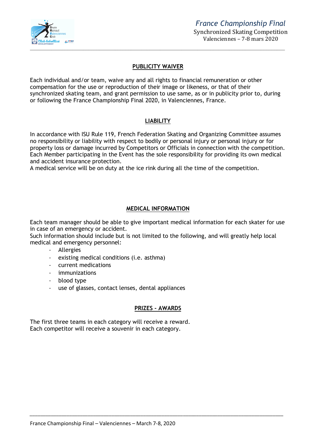

#### **PUBLICITY WAIVER**

Each individual and/or team, waive any and all rights to financial remuneration or other compensation for the use or reproduction of their image or likeness, or that of their synchronized skating team, and grant permission to use same, as or in publicity prior to, during or following the France Championship Final 2020, in Valenciennes, France.

#### **LIABILITY**

In accordance with ISU Rule 119, French Federation Skating and Organizing Committee assumes no responsibility or liability with respect to bodily or personal injury or personal injury or for property loss or damage incurred by Competitors or Officials in connection with the competition. Each Member participating in the Event has the sole responsibility for providing its own medical and accident insurance protection.

A medical service will be on duty at the ice rink during all the time of the competition.

#### **MEDICAL INFORMATION**

Each team manager should be able to give important medical information for each skater for use in case of an emergency or accident.

Such information should include but is not limited to the following, and will greatly help local medical and emergency personnel:

- Allergies
- existing medical conditions (i.e. asthma)
- current medications
- immunizations
- blood type
- use of glasses, contact lenses, dental appliances

#### **PRIZES - AWARDS**

*\_\_\_\_\_\_\_\_\_\_\_\_\_\_\_\_\_\_\_\_\_\_\_\_\_\_\_\_\_\_\_\_\_\_\_\_\_\_\_\_\_\_\_\_\_\_\_\_\_\_\_\_\_\_\_\_\_\_\_\_\_\_\_\_\_\_\_\_\_\_\_\_\_\_\_\_\_\_\_\_\_\_\_\_\_\_\_\_\_\_\_\_\_\_\_\_*

The first three teams in each category will receive a reward. Each competitor will receive a souvenir in each category.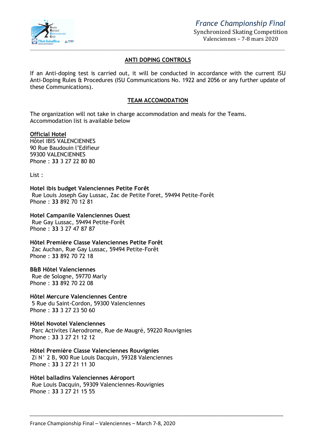

#### **ANTI DOPING CONTROLS**

If an Anti-doping test is carried out, it will be conducted in accordance with the current ISU Anti-Doping Rules & Procedures (ISU Communications No. 1922 and 2056 or any further update of these Communications).

#### **TEAM ACCOMODATION**

The organization will not take in charge accommodation and meals for the Teams. Accommodation list is available below

#### **Official Hotel**

Hôtel IBIS VALENCIENNES 90 Rue Baudouin l'Edifieur 59300 VALENCIENNES Phone : **33** 3 27 22 80 80

List :

**Hotel ibis budget Valenciennes Petite Forêt**  Rue Louis Joseph Gay Lussac, Zac de Petite Foret, 59494 Petite-Forêt Phone : **33** 892 70 12 81

#### **Hotel Campanile Valenciennes Ouest**

Rue Gay Lussac, 59494 Petite-Forêt Phone : **33** 3 27 47 87 87

**Hôtel Première Classe Valenciennes Petite Forêt**  Zac Auchan, Rue Gay Lussac, 59494 Petite-Forêt Phone : **33** 892 70 72 18

#### **B&B Hôtel Valenciennes**

Rue de Sologne, 59770 Marly Phone : **33** 892 70 22 08

**Hôtel Mercure Valenciennes Centre**  5 Rue du Saint-Cordon, 59300 Valenciennes Phone : **33** 3 27 23 50 60

**Hôtel Novotel Valenciennes**  Parc Activites l'Aerodrome, Rue de Maugré, 59220 Rouvignies Phone : **33** 3 27 21 12 12

**Hôtel Première Classe Valenciennes Rouvignies**  Zi N° 2 B, 900 Rue Louis Dacquin, 59328 Valenciennes Phone : **33** 3 27 21 11 30

**Hôtel balladins Valenciennes Aéroport**  Rue Louis Dacquin, 59309 Valenciennes-Rouvignies Phone : **33** 3 27 21 15 55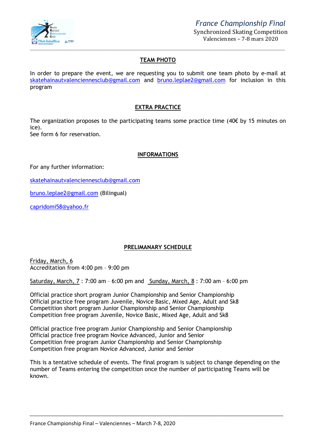

#### **TEAM PHOTO**

In order to prepare the event, we are requesting you to submit one team photo by e-mail at skatehainautvalenciennesclub@gmail.com and bruno.leplae2@gmail.com for inclusion in this program

#### **EXTRA PRACTICE**

The organization proposes to the participating teams some practice time (40€ by 15 minutes on ice). See form 6 for reservation.

**INFORMATIONS**

For any further information:

skatehainautvalenciennesclub@gmail.com

bruno.leplae2@gmail.com (Bilingual)

capridomi58@yahoo.fr

#### **PRELIMANARY SCHEDULE**

Friday, March, 6 Accreditation from 4:00 pm – 9:00 pm

Saturday, March, 7 : 7:00 am – 6:00 pm and Sunday, March, 8 : 7:00 am – 6:00 pm

Official practice short program Junior Championship and Senior Championship Official practice free program Juvenile, Novice Basic, Mixed Age, Adult and Sk8 Competition short program Junior Championship and Senior Championship Competition free program Juvenile, Novice Basic, Mixed Age, Adult and Sk8

Official practice free program Junior Championship and Senior Championship Official practice free program Novice Advanced, Junior and Senior Competition free program Junior Championship and Senior Championship Competition free program Novice Advanced, Junior and Senior

This is a tentative schedule of events. The final program is subject to change depending on the number of Teams entering the competition once the number of participating Teams will be known.